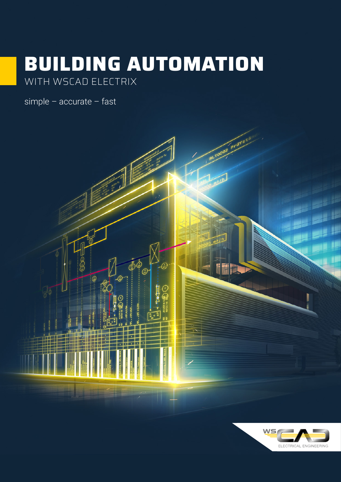# BUILDING AUTOMATION

simple - accurate - fast



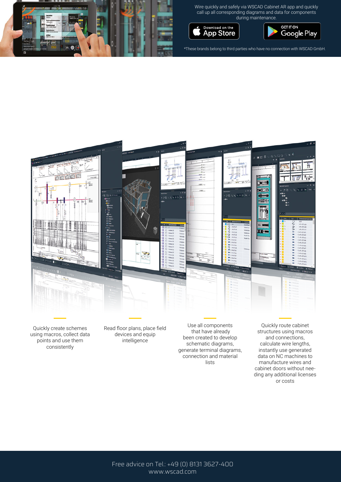

Wire quickly and safely via WSCAD Cabinet AR app and quickly call up all corresponding diagrams and data for components during maintenance.





\*These brands belong to third parties who have no connection with WSCAD GmbH.



Quickly create schemes using macros, collect data points and use them consistently

Read floor plans, place field devices and equip intelligence

Use all components that have already been created to develop schematic diagrams, generate terminal diagrams, connection and material lists

Quickly route cabinet structures using macros and connections, calculate wire lengths, instantly use generated data on NC machines to manufacture wires and cabinet doors without needing any additional licenses or costs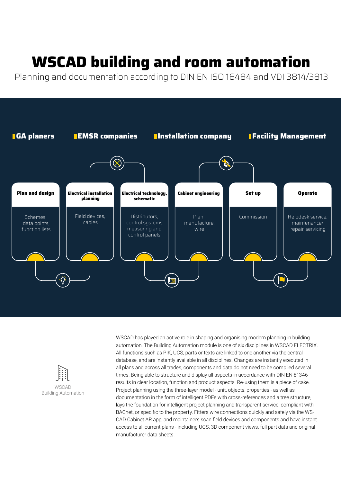## **WSCAD building and room automation**

Planning and documentation according to DIN EN ISO 16484 and VDI 3814/3813





WSCAD has played an active role in shaping and organising modern planning in building automation. The Building Automation module is one of six disciplines in WSCAD ELECTRIX. All functions such as PIK, UCS, parts or texts are linked to one another via the central database, and are instantly available in all disciplines. Changes are instantly executed in all plans and across all trades, components and data do not need to be compiled several times. Being able to structure and display all aspects in accordance with DIN EN 81346 results in clear location, function and product aspects. Re-using them is a piece of cake. Project planning using the three-layer model - unit, objects, properties - as well as documentation in the form of intelligent PDFs with cross-references and a tree structure, lays the foundation for intelligent project planning and transparent service: compliant with BACnet, or specific to the property. Fitters wire connections quickly and safely via the WS-CAD Cabinet AR app, and maintainers scan field devices and components and have instant access to all current plans - including UCS, 3D component views, full part data and original manufacturer data sheets.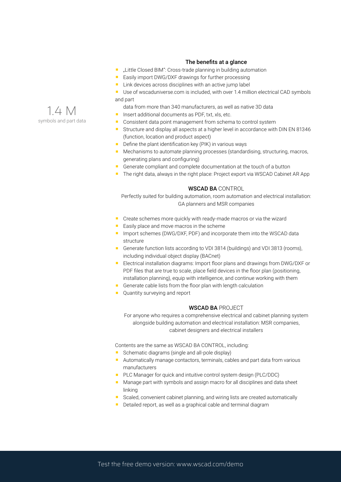#### The benefits at a glance

- "Little Closed BIM": Cross-trade planning in building automation
- Easily import DWG/DXF drawings for further processing
- **Link devices across disciplines with an active jump label**
- Use of wscaduniverse.com is included, with over 1.4 million electrical CAD symbols and part
	- data from more than 340 manufacturers, as well as native 3D data
- Insert additional documents as PDF, txt, xls, etc.
- Consistent data point management from schema to control system
- Structure and display all aspects at a higher level in accordance with DIN EN 81346 (function, location and product aspect)
- $\blacksquare$  Define the plant identification key (PIK) in various ways
- **Mechanisms to automate planning processes (standardising, structuring, macros,** generating plans and configuring)
- Generate compliant and complete documentation at the touch of a button
- The right data, always in the right place: Project export via WSCAD Cabinet AR App

#### WSCAD BA CONTROL

Perfectly suited for building automation, room automation and electrical installation: GA planners and MSR companies

- Create schemes more quickly with ready-made macros or via the wizard
- $E$  Easily place and move macros in the scheme
- **IMPORT SCHEMES (DWG/DXF, PDF) and incorporate them into the WSCAD data** structure
- Generate function lists according to VDI 3814 (buildings) and VDI 3813 (rooms), including individual object display (BACnet)
- Electrical installation diagrams: Import floor plans and drawings from DWG/DXF or PDF files that are true to scale, place field devices in the floor plan (positioning, installation planning), equip with intelligence, and continue working with them
- Generate cable lists from the floor plan with length calculation
- **Quantity surveying and report**

#### WSCAD BA PROJECT

For anyone who requires a comprehensive electrical and cabinet planning system alongside building automation and electrical installation: MSR companies, cabinet designers and electrical installers

Contents are the same as WSCAD BA CONTROL, including:

- Schematic diagrams (single and all-pole display)
- Automatically manage contactors, terminals, cables and part data from various manufacturers
- **PLC Manager for quick and intuitive control system design (PLC/DDC)**
- **Manage part with symbols and assign macro for all disciplines and data sheet** linking
- Scaled, convenient cabinet planning, and wiring lists are created automatically
- Detailed report, as well as a graphical cable and terminal diagram

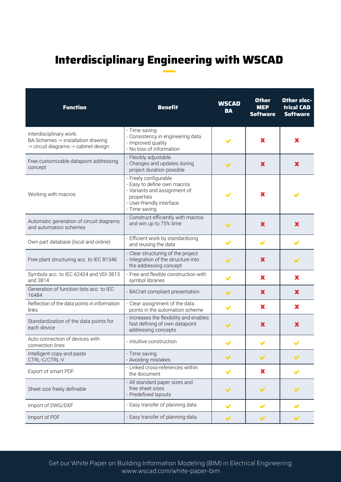### **Interdisciplinary Engineering with WSCAD**

| <b>Function</b>                                                                                        | <b>Benefit</b>                                                                                                                                   | <b>WSCAD</b><br><b>BA</b> | <b>Other</b><br><b>MEP</b><br><b>Software</b> | <b>Other elec-</b><br><b>trical CAD</b><br><b>Software</b> |
|--------------------------------------------------------------------------------------------------------|--------------------------------------------------------------------------------------------------------------------------------------------------|---------------------------|-----------------------------------------------|------------------------------------------------------------|
| Interdisciplinary work:<br>BA-Schemes -> installation drawing<br>-> circuit diagrams -> cabinet design | - Time saving<br>- Consistency in engineering data<br>- Improved quality<br>- No loss of information                                             |                           | X                                             | X                                                          |
| Free customizable datapoint addressing<br>concept                                                      | - Flexibly adjustable<br>- Changes and updates during<br>project duration possible                                                               | ✔                         | X                                             | X                                                          |
| Working with macros                                                                                    | - Freely configurable<br>- Easy to define own macros<br>- Variants and assignment of<br>properties<br>- User-friendly interface<br>- Time saving |                           | X                                             | $\blacktriangleright$                                      |
| Automatic generation of circuit diagrams<br>and automation schemes                                     | - Construct efficiently with macros<br>and win up to 75% time                                                                                    | $\blacktriangledown$      | $\mathbf x$                                   | X                                                          |
| Own part database (local and online)                                                                   | Efficient work by standardizing<br>and reusing the data                                                                                          | ✔                         | ✔                                             | V                                                          |
| Free plant structuring acc. to IEC 81346                                                               | - Clear structuring of the project<br>- Integration of the structure into<br>the addressing concept                                              | $\blacktriangledown$      | $\mathbf x$                                   | $\blacktriangledown$                                       |
| Symbols acc. to IEC 62424 and VDI 3813<br>and 3814                                                     | - Free and flexible construction with<br>symbol libraries                                                                                        |                           | X                                             | X                                                          |
| Generation of function lists acc. to IEC<br>16484                                                      | - BACnet compliant presentation                                                                                                                  | $\blacktriangleright$     | $\mathbf x$                                   | X                                                          |
| Reflection of the data points in information<br>links                                                  | - Clear assignment of the data<br>points in the automation scheme                                                                                | ✔                         | X                                             | X                                                          |
| Standardization of the data points for<br>each device                                                  | - Increases the flexibility and enables<br>fast defining of own datapoint<br>addressing concepts                                                 | $\checkmark$              | X                                             | X                                                          |
| Auto connection of devices with<br>connection lines                                                    | - Intuitive construction                                                                                                                         |                           |                                               |                                                            |
| Intelligent copy-and-paste<br>CTRL-C/CTRL-V                                                            | - Time saving<br>- Avoiding mistakes                                                                                                             | $\blacktriangledown$      | $\blacktriangleright$                         | $\blacktriangledown$                                       |
| Export of smart PDF                                                                                    | - Linked cross-references within<br>the document                                                                                                 | V                         | X                                             |                                                            |
| Sheet size freely definable                                                                            | - All standard paper sizes and<br>free sheet sizes<br>- Predefined layouts                                                                       | ✔                         | $\blacktriangleright$                         | $\blacktriangledown$                                       |
| Import of DWG/DXF                                                                                      | - Easy transfer of planning data                                                                                                                 | V                         | $\blacktriangleright$                         | V                                                          |
| Import of PDF                                                                                          | - Easy transfer of planning data                                                                                                                 | $\blacktriangledown$      | $\blacktriangleright$                         | $\blacktriangledown$                                       |